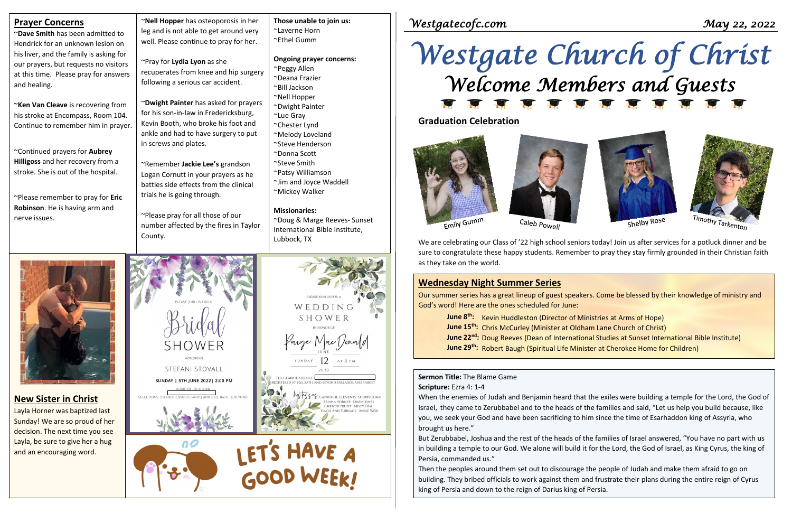**Prayer Concerns**

| Praver concerns                          |  |  |  |  |
|------------------------------------------|--|--|--|--|
| ~ <b>Dave Smith</b> has been admitted to |  |  |  |  |
| Hendrick for an unknown lesion on        |  |  |  |  |
| his liver, and the family is asking for  |  |  |  |  |
| our prayers, but requests no visitors    |  |  |  |  |
| at this time. Please pray for answers    |  |  |  |  |
| and healing.                             |  |  |  |  |
|                                          |  |  |  |  |

~**Ken Van Cleave** is recovering from his stroke at Encompass, Room 104. Continue to remember him in prayer.

~Continued prayers for **Aubrey Hilligoss** and her recovery from a stroke. She is out of the hospital.

~Please remember to pray for **Eric Robinson**. He is having arm and nerve issues.

~**Nell Hopper** has osteoporosis in her leg and is not able to get around very well. Please continue to pray for her.

~Pray for **Lydia Lyon** as she recuperates from knee and hip surgery following a serious car accident.

~**Dwight Painter** has asked for prayers for his son-in-law in Fredericksburg, Kevin Booth, who broke his foot and ankle and had to have surgery to put in screws and plates.

~Remember **Jackie Lee's** grandson Logan Cornutt in your prayers as he battles side effects from the clinical trials he is going through.

~Please pray for all those of our number affected by the fires in Taylor County.



**Those unable to join us:**

~Laverne Horn ~Ethel Gumm

**Ongoing prayer concerns:**

~Peggy Allen ~Deana Frazier ~Bill Jackson ~Nell Hopper ~Dwight Painter

~Lue Gray ~Chester Lynd ~Melody Loveland ~Steve Henderson ~Donna Scott ~Steve Smith ~Patsy Williamson ~Jim and Joyce Waddell

~Mickey Walker

**Missionaries:**

~Doug & Marge Reeves- Sunset International Bible Institute,

Lubbock, TX

*Westgatecofc.com May 22, 2022* 

# *Westgate Church of Christ Welcome Members and Guests*

# **Sermon Title:** The Blame Game

#### **Scripture:** Ezra 4: 1-4

When the enemies of Judah and Benjamin heard that the exiles were building a temple for the Lord, the God of Israel, they came to Zerubbabel and to the heads of the families and said, "Let us help you build because, like you, we seek your God and have been sacrificing to him since the time of Esarhaddon king of Assyria, who brought us here."

But Zerubbabel, Joshua and the rest of the heads of the families of Israel answered, "You have no part with us in building a temple to our God. We alone will build it for the Lord, the God of Israel, as King Cyrus, the king of Persia, commanded us."

Then the peoples around them set out to discourage the people of Judah and make them afraid to go on building. They bribed officials to work against them and frustrate their plans during the entire reign of Cyrus king of Persia and down to the reign of Darius king of Persia.



Shelby Rose



## **Graduation Celebration**





Emily Gumm

Caleb Powell

We are celebrating our Class of '22 high school seniors today! Join us after services for a potluck dinner and be sure to congratulate these happy students. Remember to pray they stay firmly grounded in their Christian faith as they take on the world.

## **Wednesday Night Summer Series**

Our summer series has a great lineup of guest speakers. Come be blessed by their knowledge of ministry and God's word! Here are the ones scheduled for June:

**June 8th:** Kevin Huddleston (Director of Ministries at Arms of Hope) **June 15th:** Chris McCurley (Minister at Oldham Lane Church of Christ) **June 22nd:** Doug Reeves (Dean of International Studies at Sunset International Bible Institute) **June 29th:** Robert Baugh (Spiritual Life Minister at Cherokee Home for Children)

## **New Sister in Christ**

Layla Horner was baptized last Sunday! We are so proud of her decision. The next time you see Layla, be sure to give her a hug and an encouraging word.